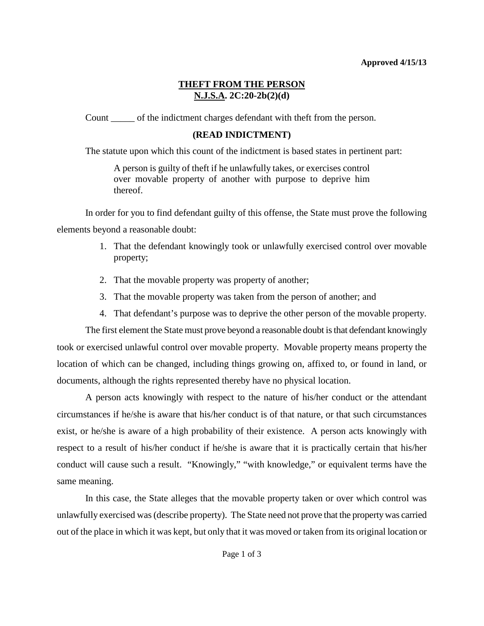### **Approved 4/15/13**

# **THEFT FROM THE PERSON N.J.S.A. 2C:20-2b(2)(d)**

Count \_\_\_\_\_ of the indictment charges defendant with theft from the person.

# **(READ INDICTMENT)**

The statute upon which this count of the indictment is based states in pertinent part:

A person is guilty of theft if he unlawfully takes, or exercises control over movable property of another with purpose to deprive him thereof.

In order for you to find defendant guilty of this offense, the State must prove the following elements beyond a reasonable doubt:

- 1. That the defendant knowingly took or unlawfully exercised control over movable property;
- 2. That the movable property was property of another;
- 3. That the movable property was taken from the person of another; and
- 4. That defendant's purpose was to deprive the other person of the movable property.

The first element the State must prove beyond a reasonable doubt is that defendant knowingly took or exercised unlawful control over movable property. Movable property means property the location of which can be changed, including things growing on, affixed to, or found in land, or documents, although the rights represented thereby have no physical location.

A person acts knowingly with respect to the nature of his/her conduct or the attendant circumstances if he/she is aware that his/her conduct is of that nature, or that such circumstances exist, or he/she is aware of a high probability of their existence. A person acts knowingly with respect to a result of his/her conduct if he/she is aware that it is practically certain that his/her conduct will cause such a result. "Knowingly," "with knowledge," or equivalent terms have the same meaning.

In this case, the State alleges that the movable property taken or over which control was unlawfully exercised was (describe property). The State need not prove that the property was carried out of the place in which it was kept, but only that it was moved or taken from its original location or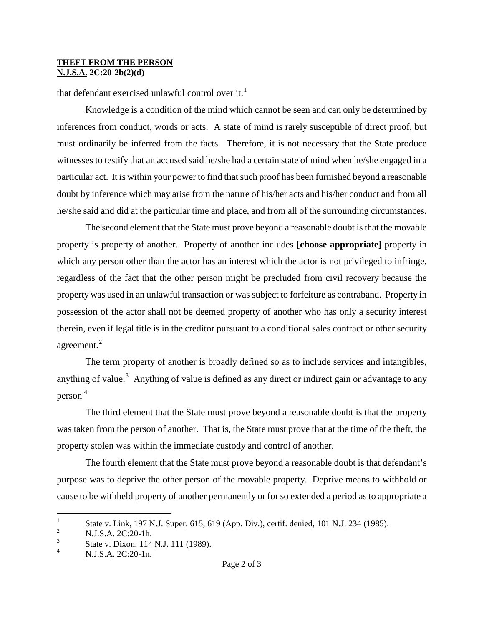### **THEFT FROM THE PERSON N.J.S.A. 2C:20-2b(2)(d)**

that defendant exercised unlawful control over it.<sup>[1](#page-2-0)</sup>

Knowledge is a condition of the mind which cannot be seen and can only be determined by inferences from conduct, words or acts. A state of mind is rarely susceptible of direct proof, but must ordinarily be inferred from the facts. Therefore, it is not necessary that the State produce witnesses to testify that an accused said he/she had a certain state of mind when he/she engaged in a particular act. It is within your power to find that such proof has been furnished beyond a reasonable doubt by inference which may arise from the nature of his/her acts and his/her conduct and from all he/she said and did at the particular time and place, and from all of the surrounding circumstances.

The second element that the State must prove beyond a reasonable doubt is that the movable property is property of another. Property of another includes [**choose appropriate]** property in which any person other than the actor has an interest which the actor is not privileged to infringe, regardless of the fact that the other person might be precluded from civil recovery because the property was used in an unlawful transaction or was subject to forfeiture as contraband. Property in possession of the actor shall not be deemed property of another who has only a security interest therein, even if legal title is in the creditor pursuant to a conditional sales contract or other security agreement.<sup>[2](#page-1-0)</sup>

The term property of another is broadly defined so as to include services and intangibles, anything of value.<sup>[3](#page-1-1)</sup> Anything of value is defined as any direct or indirect gain or advantage to any person.[4](#page-1-2)

The third element that the State must prove beyond a reasonable doubt is that the property was taken from the person of another. That is, the State must prove that at the time of the theft, the property stolen was within the immediate custody and control of another.

The fourth element that the State must prove beyond a reasonable doubt is that defendant's purpose was to deprive the other person of the movable property. Deprive means to withhold or cause to be withheld property of another permanently or for so extended a period as to appropriate a

 $\mathbf{1}$  $\frac{1}{2}$  State v. Link, 197 N.J. Super. 615, 619 (App. Div.), certif. denied, 101 N.J. 234 (1985).

<span id="page-1-0"></span><sup>2</sup> N.J.S.A. 2C:20-1h.

<span id="page-1-1"></span><sup>3</sup>  $\frac{3}{4}$  State v. Dixon, 114 N.J. 111 (1989).

<span id="page-1-2"></span>N.J.S.A. 2C:20-1n.